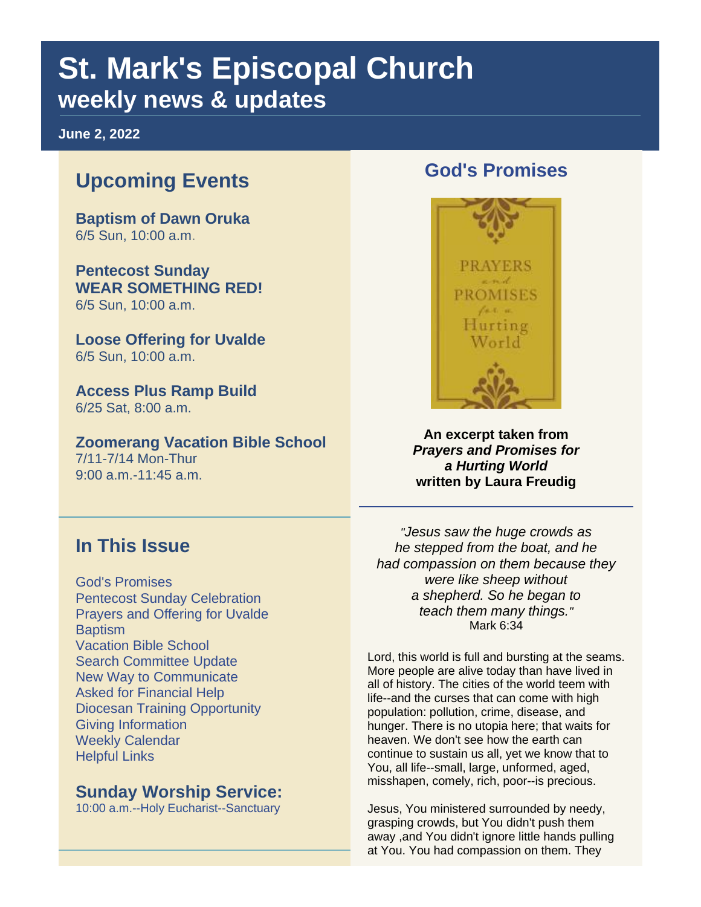## **St. Mark's Episcopal Church weekly news & updates**

**June 2, 2022**

## **Upcoming Events**

**Baptism of Dawn Oruka** 6/5 Sun, 10:00 a.m.

**Pentecost Sunday WEAR SOMETHING RED!** 6/5 Sun, 10:00 a.m.

**Loose Offering for Uvalde** 6/5 Sun, 10:00 a.m.

**Access Plus Ramp Build** 6/25 Sat, 8:00 a.m.

**Zoomerang Vacation Bible School** 7/11-7/14 Mon-Thur 9:00 a.m.-11:45 a.m.

#### **God's Promises**



**An excerpt taken from**  *Prayers and Promises for a Hurting World* **written by Laura Freudig**

#### **In This Issue**

God's Promises Pentecost Sunday Celebration Prayers and Offering for Uvalde **Baptism** Vacation Bible School Search Committee Update New Way to Communicate Asked for Financial Help Diocesan Training Opportunity Giving Information Weekly Calendar Helpful Links

#### **Sunday Worship Service:**

10:00 a.m.--Holy Eucharist--Sanctuary

*"Jesus saw the huge crowds as he stepped from the boat, and he had compassion on them because they were like sheep without a shepherd. So he began to teach them many things."* Mark 6:34

Lord, this world is full and bursting at the seams. More people are alive today than have lived in all of history. The cities of the world teem with life--and the curses that can come with high population: pollution, crime, disease, and hunger. There is no utopia here; that waits for heaven. We don't see how the earth can continue to sustain us all, yet we know that to You, all life--small, large, unformed, aged, misshapen, comely, rich, poor--is precious.

Jesus, You ministered surrounded by needy, grasping crowds, but You didn't push them away ,and You didn't ignore little hands pulling at You. You had compassion on them. They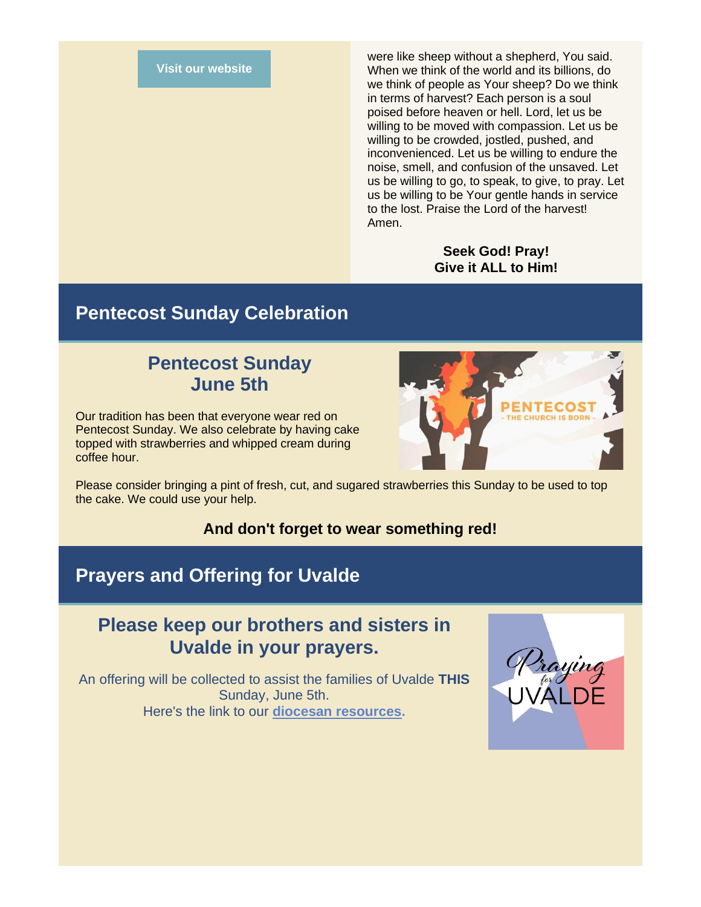#### **[Visit our website](https://r20.rs6.net/tn.jsp?f=001UKsZgLrIyDxVuUcwWbI3ljD69hyWgeFXlGABgBihFPkgzPTIPBYEykuPbKOl7r5dOFF9cvz65z0GHE-omYoeRSjW5VDjDNjcDObNgVshh26UDQHNX_41nl5QhmdnAZRspKk_tCd-jJDCFGfjfHNjhA==&c=v26VN7IdGkFUd0JluUi1I_NTSiiMbGjWSc1V7If5CglrgfmORLM5LQ==&ch=VS9tPv-VnlB67O35-Sh2KHX9mw17b6bgujvNil0JY2VhI2DrJT95Eg==)**

were like sheep without a shepherd, You said. When we think of the world and its billions, do we think of people as Your sheep? Do we think in terms of harvest? Each person is a soul poised before heaven or hell. Lord, let us be willing to be moved with compassion. Let us be willing to be crowded, jostled, pushed, and inconvenienced. Let us be willing to endure the noise, smell, and confusion of the unsaved. Let us be willing to go, to speak, to give, to pray. Let us be willing to be Your gentle hands in service to the lost. Praise the Lord of the harvest! Amen.

#### **Seek God! Pray! Give it ALL to Him!**

#### **Pentecost Sunday Celebration**

#### **Pentecost Sunday June 5th**

Our tradition has been that everyone wear red on Pentecost Sunday. We also celebrate by having cake topped with strawberries and whipped cream during coffee hour.



Please consider bringing a pint of fresh, cut, and sugared strawberries this Sunday to be used to top the cake. We could use your help.

#### **And don't forget to wear something red!**

#### **Prayers and Offering for Uvalde**

#### **Please keep our brothers and sisters in Uvalde in your prayers.**

An offering will be collected to assist the families of Uvalde **THIS**  Sunday, June 5th. Here's the link to our **[diocesan resources.](https://r20.rs6.net/tn.jsp?f=001UKsZgLrIyDxVuUcwWbI3ljD69hyWgeFXlGABgBihFPkgzPTIPBYEyu5bBhhbiEaFd3eHYSmyXR_Nw83GL6JQY9aoXx0hAF3CUE6zeEh8mEZmbjsu7oeDgG5W30-LK-H_sthoiVZCQfY6BvzIT6dFbk9MQuKNKyg9rYesTgZAUH0=&c=v26VN7IdGkFUd0JluUi1I_NTSiiMbGjWSc1V7If5CglrgfmORLM5LQ==&ch=VS9tPv-VnlB67O35-Sh2KHX9mw17b6bgujvNil0JY2VhI2DrJT95Eg==)**

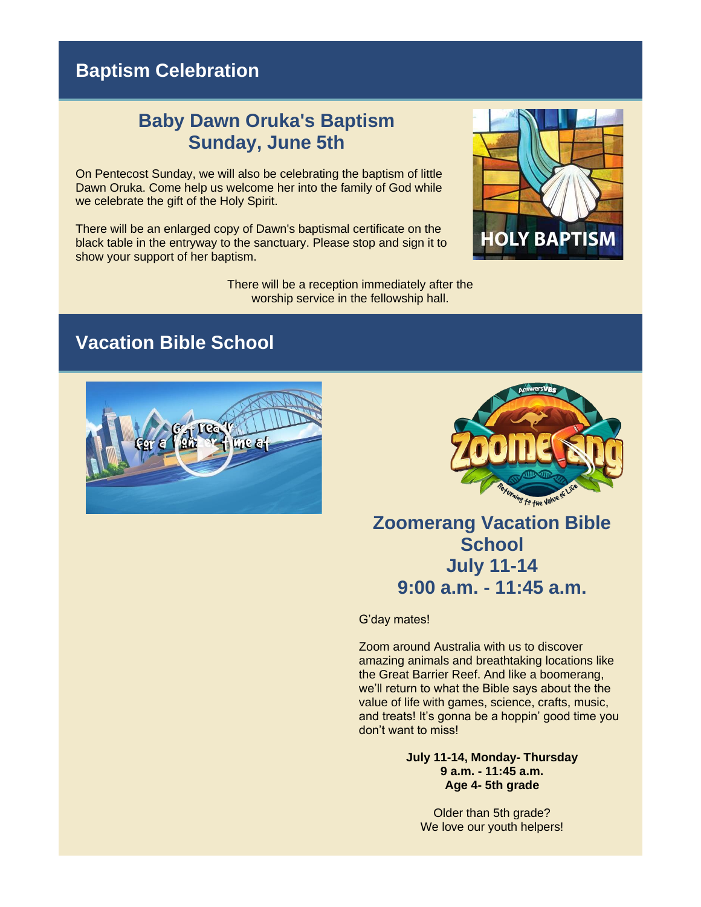## **Baptism Celebration**

#### **Baby Dawn Oruka's Baptism Sunday, June 5th**

On Pentecost Sunday, we will also be celebrating the baptism of little Dawn Oruka. Come help us welcome her into the family of God while we celebrate the gift of the Holy Spirit.

There will be an enlarged copy of Dawn's baptismal certificate on the black table in the entryway to the sanctuary. Please stop and sign it to show your support of her baptism.

> There will be a reception immediately after the worship service in the fellowship hall.



#### **Vacation Bible School**





## **Zoomerang Vacation Bible School July 11-14 9:00 a.m. - 11:45 a.m.**

G'day mates!

Zoom around Australia with us to discover amazing animals and breathtaking locations like the Great Barrier Reef. And like a boomerang, we'll return to what the Bible says about the the value of life with games, science, crafts, music, and treats! It's gonna be a hoppin' good time you don't want to miss!

> **July 11-14, Monday- Thursday 9 a.m. - 11:45 a.m. Age 4- 5th grade**

Older than 5th grade? We love our youth helpers!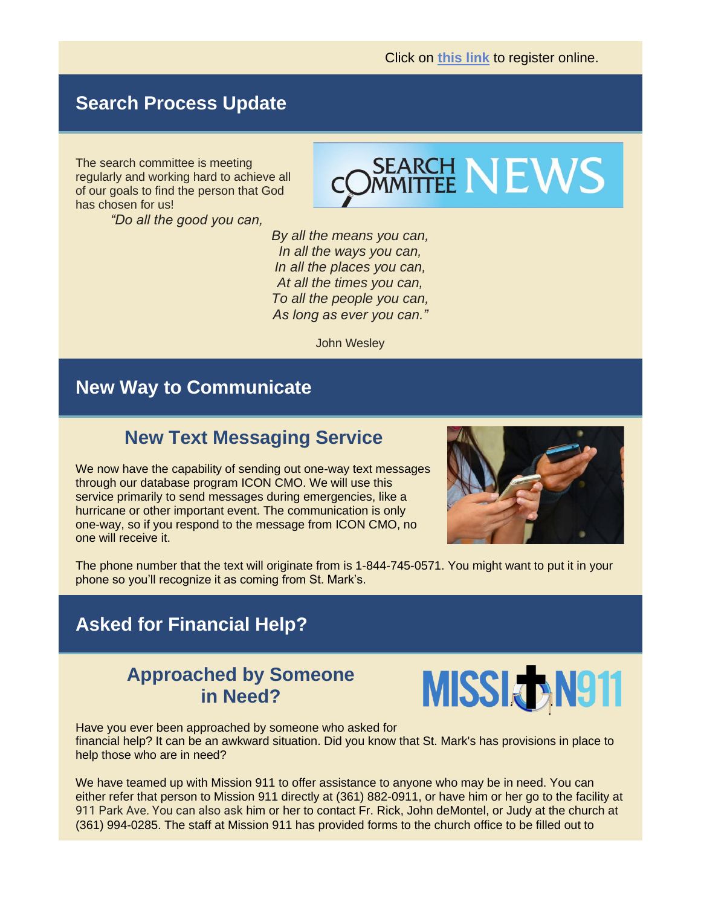#### **Search Process Update**

The search committee is meeting regularly and working hard to achieve all of our goals to find the person that God has chosen for us!

*"Do all the good you can,*



*By all the means you can, In all the ways you can, In all the places you can, At all the times you can, To all the people you can, As long as ever you can."*

John Wesley

#### **New Way to Communicate**

#### **New Text Messaging Service**

We now have the capability of sending out one-way text messages through our database program ICON CMO. We will use this service primarily to send messages during emergencies, like a hurricane or other important event. The communication is only one-way, so if you respond to the message from ICON CMO, no one will receive it.



The phone number that the text will originate from is 1-844-745-0571. You might want to put it in your phone so you'll recognize it as coming from St. Mark's.

#### **Asked for Financial Help?**

#### **Approached by Someone in Need?**



Have you ever been approached by someone who asked for financial help? It can be an awkward situation. Did you know that St. Mark's has provisions in place to help those who are in need?

We have teamed up with Mission 911 to offer assistance to anyone who may be in need. You can either refer that person to Mission 911 directly at (361) 882-0911, or have him or her go to the facility at 911 Park Ave. You can also ask him or her to contact Fr. Rick, John deMontel, or Judy at the church at (361) 994-0285. The staff at Mission 911 has provided forms to the church office to be filled out to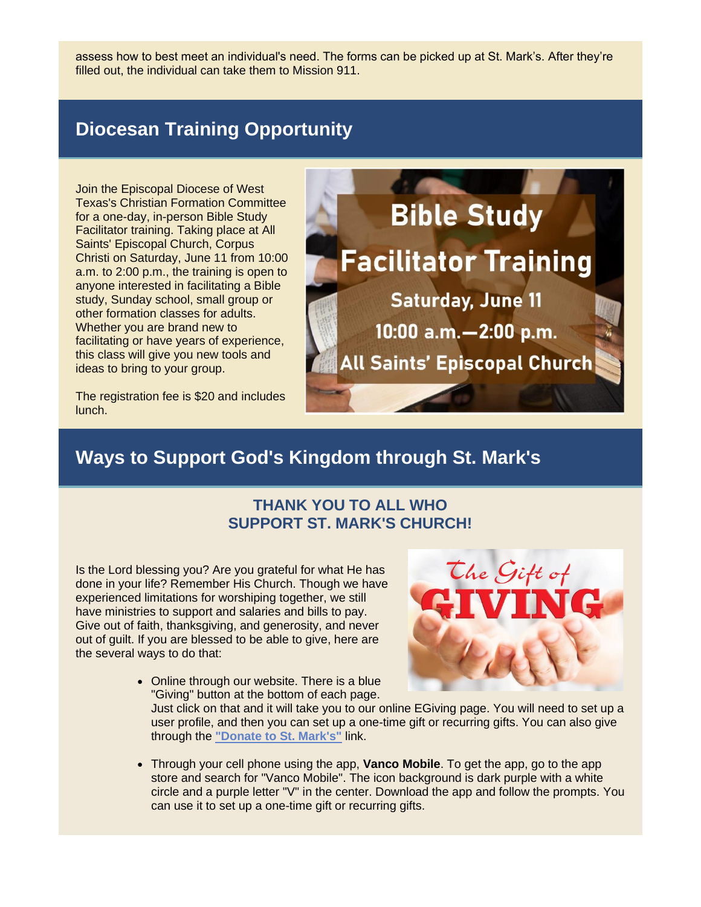assess how to best meet an individual's need. The forms can be picked up at St. Mark's. After they're filled out, the individual can take them to Mission 911.

## **Diocesan Training Opportunity**

Join the Episcopal Diocese of West Texas's Christian Formation Committee for a one-day, in-person Bible Study Facilitator training. Taking place at [All](https://r20.rs6.net/tn.jsp?f=001UKsZgLrIyDxVuUcwWbI3ljD69hyWgeFXlGABgBihFPkgzPTIPBYEynFhOsjVB9Q196LSUSc4h3nAcmhVsc7YFXBi1CQqova3pt4oyKNCjn79_1CznI5IbnYuyMCy9kipOnQBEmWLRlTh1AapXvf6rg==&c=v26VN7IdGkFUd0JluUi1I_NTSiiMbGjWSc1V7If5CglrgfmORLM5LQ==&ch=VS9tPv-VnlB67O35-Sh2KHX9mw17b6bgujvNil0JY2VhI2DrJT95Eg==)  [Saints' Episcopal Church, Corpus](https://r20.rs6.net/tn.jsp?f=001UKsZgLrIyDxVuUcwWbI3ljD69hyWgeFXlGABgBihFPkgzPTIPBYEynFhOsjVB9Q196LSUSc4h3nAcmhVsc7YFXBi1CQqova3pt4oyKNCjn79_1CznI5IbnYuyMCy9kipOnQBEmWLRlTh1AapXvf6rg==&c=v26VN7IdGkFUd0JluUi1I_NTSiiMbGjWSc1V7If5CglrgfmORLM5LQ==&ch=VS9tPv-VnlB67O35-Sh2KHX9mw17b6bgujvNil0JY2VhI2DrJT95Eg==)  [Christi o](https://r20.rs6.net/tn.jsp?f=001UKsZgLrIyDxVuUcwWbI3ljD69hyWgeFXlGABgBihFPkgzPTIPBYEynFhOsjVB9Q196LSUSc4h3nAcmhVsc7YFXBi1CQqova3pt4oyKNCjn79_1CznI5IbnYuyMCy9kipOnQBEmWLRlTh1AapXvf6rg==&c=v26VN7IdGkFUd0JluUi1I_NTSiiMbGjWSc1V7If5CglrgfmORLM5LQ==&ch=VS9tPv-VnlB67O35-Sh2KHX9mw17b6bgujvNil0JY2VhI2DrJT95Eg==)n Saturday, June 11 from 10:00 a.m. to 2:00 p.m., the training is open to anyone interested in facilitating a Bible study, Sunday school, small group or other formation classes for adults. Whether you are brand new to facilitating or have years of experience, this class will give you new tools and ideas to bring to your group.

The registration fee is \$20 and includes lunch.

# **Bible Study Facilitator Training Saturday, June 11** 10:00 a.m. - 2:00 p.m. **All Saints' Episcopal Church**

## **Ways to Support God's Kingdom through St. Mark's**

#### **THANK YOU TO ALL WHO SUPPORT ST. MARK'S CHURCH!**

Is the Lord blessing you? Are you grateful for what He has done in your life? Remember His Church. Though we have experienced limitations for worshiping together, we still have ministries to support and salaries and bills to pay. Give out of faith, thanksgiving, and generosity, and never out of guilt. If you are blessed to be able to give, here are the several ways to do that:

- The Gift of
- Online through our website. There is a blue "Giving" button at the bottom of each page.

Just click on that and it will take you to our online EGiving page. You will need to set up a user profile, and then you can set up a one-time gift or recurring gifts. You can also give through the **["Donate to St. Mark's"](https://r20.rs6.net/tn.jsp?f=001UKsZgLrIyDxVuUcwWbI3ljD69hyWgeFXlGABgBihFPkgzPTIPBYEyqkfP3lT2CpNiqWDpx9hxfc9USCsW0Z8sq7xGzDeOjJIwGbguSksNg7C8rP-HDuzzGnjp4na3JRJG4jtDuhd_npgqOCEgfhOKNmdcsIGg4yVRVRRcJqwcZvw6qyPnVp7Z0pn3qrjIqYAuHc6VSNUoxlvEKUpIIpcHcm7FUM1j24PDIBWt3mKJ6OjjYB0hiujKtXNA00zXmH1znXUp49bf-uT631tuHDfjYKrzJvFNF_psiRZZbmCtQbxyQmanUxQiXwXWOZ_nmDy9IE8i8QqClkinWVXasYBO0w7W5SRj0q1r5_Nbh4rCJ0=&c=v26VN7IdGkFUd0JluUi1I_NTSiiMbGjWSc1V7If5CglrgfmORLM5LQ==&ch=VS9tPv-VnlB67O35-Sh2KHX9mw17b6bgujvNil0JY2VhI2DrJT95Eg==)** link.

• Through your cell phone using the app, **Vanco Mobile**. To get the app, go to the app store and search for "Vanco Mobile". The icon background is dark purple with a white circle and a purple letter "V" in the center. Download the app and follow the prompts. You can use it to set up a one-time gift or recurring gifts.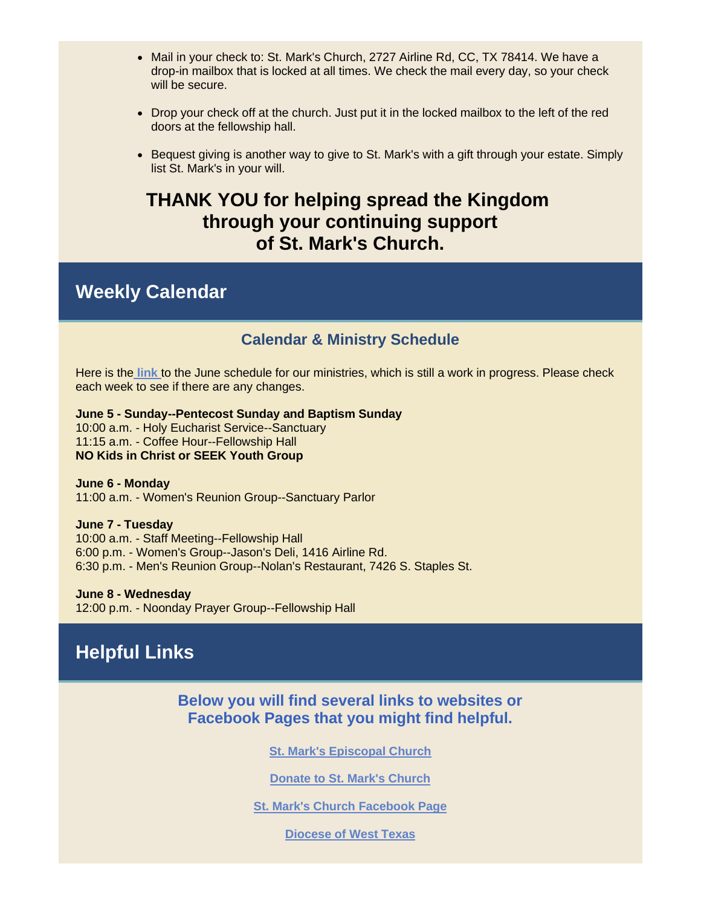- Mail in your check to: St. Mark's Church, 2727 Airline Rd, CC, TX 78414. We have a drop-in mailbox that is locked at all times. We check the mail every day, so your check will be secure.
- Drop your check off at the church. Just put it in the locked mailbox to the left of the red doors at the fellowship hall.
- Bequest giving is another way to give to St. Mark's with a gift through your estate. Simply list St. Mark's in your will.

#### **THANK YOU for helping spread the Kingdom through your continuing support of St. Mark's Church.**

#### **Weekly Calendar**

#### **Calendar & Ministry Schedule**

Here is the **[link](https://r20.rs6.net/tn.jsp?f=001UKsZgLrIyDxVuUcwWbI3ljD69hyWgeFXlGABgBihFPkgzPTIPBYEyp_j6WnKluGwaea886rn_IKiXlyyClveI2sya1gDYSjAXz9ybcYedDCdcEWz_8_uj16vADscy9V-8TVi4Qe07-zHmOUr_Gc3so_9IK1ogdp7BVZb_xqLXSDESKYtMsLJxlARRyksUsRoIxqgVO35IVBiJPGlHb4NEWTzbFZKx4XWrMnmAfVjGZM=&c=v26VN7IdGkFUd0JluUi1I_NTSiiMbGjWSc1V7If5CglrgfmORLM5LQ==&ch=VS9tPv-VnlB67O35-Sh2KHX9mw17b6bgujvNil0JY2VhI2DrJT95Eg==)** to the June schedule for our ministries, which is still a work in progress. Please check each week to see if there are any changes.

**June 5 - Sunday--Pentecost Sunday and Baptism Sunday** 10:00 a.m. - Holy Eucharist Service--Sanctuary 11:15 a.m. - Coffee Hour--Fellowship Hall **NO Kids in Christ or SEEK Youth Group**

**June 6 - Monday** 11:00 a.m. - Women's Reunion Group--Sanctuary Parlor

#### **June 7 - Tuesday**

10:00 a.m. - Staff Meeting--Fellowship Hall 6:00 p.m. - Women's Group--Jason's Deli, 1416 Airline Rd. 6:30 p.m. - Men's Reunion Group--Nolan's Restaurant, 7426 S. Staples St.

**June 8 - Wednesday** 12:00 p.m. - Noonday Prayer Group--Fellowship Hall

### **Helpful Links**

**Below you will find several links to websites or Facebook Pages that you might find helpful.** 

**[St. Mark's Episcopal Church](https://r20.rs6.net/tn.jsp?f=001UKsZgLrIyDxVuUcwWbI3ljD69hyWgeFXlGABgBihFPkgzPTIPBYEyhkU4YSOYJIiWTSt9nPcPhAETp4nzPMU8UkYFDILRxWhhcWsRDWc2wgmhSwahoBVUW9rTcAcaF0ZE4uEb5cO8F8=&c=v26VN7IdGkFUd0JluUi1I_NTSiiMbGjWSc1V7If5CglrgfmORLM5LQ==&ch=VS9tPv-VnlB67O35-Sh2KHX9mw17b6bgujvNil0JY2VhI2DrJT95Eg==)**

**[Donate to St. Mark's Church](https://r20.rs6.net/tn.jsp?f=001UKsZgLrIyDxVuUcwWbI3ljD69hyWgeFXlGABgBihFPkgzPTIPBYEyqkfP3lT2CpNiqWDpx9hxfc9USCsW0Z8sq7xGzDeOjJIwGbguSksNg7C8rP-HDuzzGnjp4na3JRJG4jtDuhd_npgqOCEgfhOKNmdcsIGg4yVRVRRcJqwcZvw6qyPnVp7Z0pn3qrjIqYAuHc6VSNUoxlvEKUpIIpcHcm7FUM1j24PDIBWt3mKJ6OjjYB0hiujKtXNA00zXmH1znXUp49bf-uT631tuHDfjYKrzJvFNF_psiRZZbmCtQbxyQmanUxQiXwXWOZ_nmDy9IE8i8QqClkinWVXasYBO0w7W5SRj0q1r5_Nbh4rCJ0=&c=v26VN7IdGkFUd0JluUi1I_NTSiiMbGjWSc1V7If5CglrgfmORLM5LQ==&ch=VS9tPv-VnlB67O35-Sh2KHX9mw17b6bgujvNil0JY2VhI2DrJT95Eg==)**

**[St. Mark's Church Facebook Page](https://r20.rs6.net/tn.jsp?f=001UKsZgLrIyDxVuUcwWbI3ljD69hyWgeFXlGABgBihFPkgzPTIPBYEylZspIW3fbk47vKK-4hNbYAhlI7ruOIwbxlaMlVosg4irZEsDUNYcZXLeGCTSdwBZ0D6opV9h3DFnL4aDVqqBAIryYo5VP1lSmK6bPUBh3aCJgPbEd7fwOo=&c=v26VN7IdGkFUd0JluUi1I_NTSiiMbGjWSc1V7If5CglrgfmORLM5LQ==&ch=VS9tPv-VnlB67O35-Sh2KHX9mw17b6bgujvNil0JY2VhI2DrJT95Eg==)**

**[Diocese of West Texas](https://r20.rs6.net/tn.jsp?f=001UKsZgLrIyDxVuUcwWbI3ljD69hyWgeFXlGABgBihFPkgzPTIPBYEyhkU4YSOYJIiKC_qgPanH1SKrz7Lpyj6UBWx5Xr1ziZFOPjrcIxT7Qy50DCHlnuzBmS6Jd2ozbuQT1JGf6S1eEQ=&c=v26VN7IdGkFUd0JluUi1I_NTSiiMbGjWSc1V7If5CglrgfmORLM5LQ==&ch=VS9tPv-VnlB67O35-Sh2KHX9mw17b6bgujvNil0JY2VhI2DrJT95Eg==)**